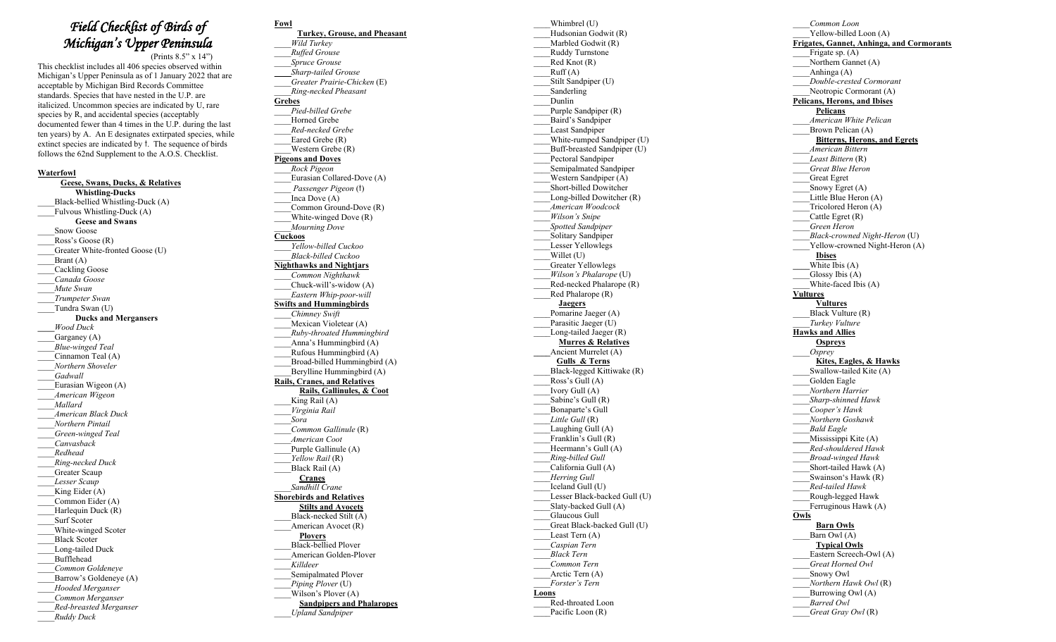## *Field Checklist of Birds of Michigan's Upper Peninsula*

(Prints 8.5" x 14")

This checklist includes all 40 6 species observed within Michigan's Upper Peninsula as of 1 January 20 2 2 that are acceptable by Michigan Bird Records Committee standards . Species that have nested in the U.P. are italicized. Uncommon species are indicated by U, rare species by R, and accidental species (acceptably documented fewer than 4 times in the U.P. during the last ten years ) by A. An E designates extirpated species, while extinct species are indicated by  $\dagger$ . The sequence of birds follows the 62nd Supplement to the A.O. S. Checklist.

## **Waterfowl**

 **Geese, Swans, Ducks, & Relatives Whistling -Ducks** \_\_\_\_Black -bellied Whistling -Duck (A) Fulvous Whistling-Duck (A)  **Geese and Swans** Snow Goose Ross's Goose (R) Greater White-fronted Goose (U) \_\_\_\_Brant ( A ) \_\_\_\_Cackling Goose \_\_\_\_*Canada Goose* \_\_\_\_*Mute Swan*  \_\_\_\_*Trumpeter Swan*  Tundra Swan (U) **Ducks and Merganser s \_\_\_\_***Wood Duck* Garganey (A) \_\_\_\_*Blue -winged Teal* Cinnamon Teal (A) \_\_\_\_*Northern Shoveler* \_\_\_\_*Gadwall*  \_\_\_\_Eurasian Wigeon ( A ) \_\_\_\_*American Wigeon* \_\_\_\_*Mallard* \_\_\_\_*American Black Duck* \_\_\_\_*Northern Pintail* \_\_\_\_*Green -winged Teal* \_\_\_\_*Canvasback* \_\_\_\_*Redhead* \_\_\_\_*Ring -necked Duck* Greater Scaup \_\_\_\_*Lesser Scaup* King Eider (A) \_\_\_\_Common Eider (A) Harlequin Duck (R) \_\_\_\_Surf Scoter \_\_\_\_White -winged Scoter \_\_\_\_Black Scoter \_\_\_\_Long -tailed Duck \_\_\_\_Bufflehead *\_\_\_\_Common Goldeneye* Barrow's Goldeneye (A) \_\_\_\_*Hooded Merganser* \_\_\_\_*Common Merganser* \_\_\_\_*Red-breasted Merganser* \_\_\_\_*Ruddy Duck*

**Fowl Turkey, Grouse, and Pheasant** \_\_\_\_*Wild Turkey* \_\_\_\_*Ruffed Grouse* \_\_\_\_*Spruce Grouse*  \_\_\_\_*Sharp -tailed Grouse*  \_\_\_\_*Greater Prairie -Chicken* (E) \_\_\_\_*Ring -necked Pheasant*  **Grebes** \_\_\_\_*Pied-billed Grebe* Horned Grebe \_\_\_\_*Red-necked Grebe* Eared Grebe (R) \_\_\_\_Western Grebe (R) **Pigeons and Doves** \_\_\_\_*Rock Pigeon* \_\_\_\_Eurasian Collared -Dove (A) \_\_\_\_ *Passenger Pigeon* ( t ) Inca Dove (A) Common Ground-Dove (R) \_\_\_\_White -winged Dove (R) \_\_\_\_*Mourning Dove* **Cuckoos**  *\_\_\_\_Yellow -billed Cuckoo*  \_\_\_\_*Black-billed Cuckoo* **Nighthawks and Nightjars** \_\_\_\_*Common Nighthawk* \_\_\_\_Chuck -will's - widow (A) \_\_\_\_*Eastern Whip -poor -will* **Swifts and Hummingbirds** \_\_\_\_*Chimney Swift* Mexican Violetear (A) \_\_\_\_*Ruby -throated Hummingbird* Anna's Hummingbird (A) Rufous Hummingbird (A) Broad-billed Hummingbird (A) Berylline Hummingbird (A) **Rails, Cranes, and Relatives Rails, Gallinules, & Coot** King Rail  $(A)$ \_\_\_\_*Virginia Rail* \_\_\_\_*Sora* \_\_\_\_*Common Gallinule* (R) \_\_\_\_*American Coot* Purple Gallinule  $(A)$ \_\_\_\_*Yellow Rail* (R) Black Rail (A) **Cranes** *\_\_\_\_Sandhill Crane* **Shorebirds and Relatives Stilts and Avocets** \_\_\_\_Black -necked Stilt (A) American Avocet (R)  **Plovers** \_\_\_\_Black -bellied Plover \_\_\_\_American Golden -Plover \_\_\_\_*Killdeer* Semipalmated Plover \_\_\_\_*Piping Plover* (U) Wilson's Plover (A) **Sandpipers and Phalaropes** 

\_\_\_\_*Upland Sandpiper*

\_\_\_\_Whimbrel (U) \_\_\_\_Hudsonian Godwit ( R) \_\_\_\_Marbled Godwit ( R) \_\_\_\_Ruddy Turnstone Red Knot (R)  $Ruff(A)$ Stilt Sandpiper (U) \_\_\_\_Sanderling \_\_\_\_Dunlin Purple Sandpiper (R) \_\_\_\_Baird's Sandpiper Least Sandpiper \_\_\_\_White -rumped Sandpiper (U) Buff-breasted Sandpiper (U) Pectoral Sandpiper \_\_\_\_Semipalmated Sandpiper \_\_\_\_Western Sandpiper ( A ) \_\_\_\_Short -billed Dowitcher \_\_\_\_Long -billed Dowitcher (R) \_\_\_\_*American Woodcock* \_\_\_\_*Wilson's Snipe* \_\_\_\_*Spotted Sandpiper* Solitary Sandpiper \_\_\_\_Lesser Yellowlegs Willet (U) \_\_\_\_Greater Yellowlegs \_\_\_\_*Wilson's Phalarope* ( U ) Red-necked Phalarope (R)  $Red Phalarope (R)$  **Jaegers** Pomarine Jaeger (A) Parasitic Jaeger (U) Long-tailed Jaeger (R) **Murres & Relatives \_\_\_\_**Ancient Murrelet ( A ) **Gulls\_& Terns** Black-legged Kittiwake (R) Ross's Gull  $(A)$  $\overline{I}$ vory Gull  $(A)$ Sabine's Gull (R) \_\_\_\_Bonaparte's Gull \_\_\_\_*Little Gull* (R) Laughing Gull (A) Franklin's Gull (R) Heermann's Gull (A) \_\_\_\_*Ring -billed Gull* California Gull (A) \_\_\_\_*Herring Gull* \_\_\_\_Iceland Gull (U) Lesser Black-backed Gull (U) \_\_\_\_Slaty -backed Gull (A) \_\_\_\_Glaucous Gull \_\_\_\_Great Black -backed Gull (U) Least Tern (A) \_\_\_\_*Caspian Tern* \_\_\_\_*Black Tern*  \_\_\_\_*Common Tern* Arctic Tern (A) \_\_\_\_*Forster's Tern*  **Loons** \_\_\_\_Red -throated Loon Pacific Loon (R)

\_\_\_\_*Common Loon* \_\_\_\_Yellow -billed Loon (A) **Frigates, Gannet, Anhinga, and Cormorants** Frigate sp. (A) Northern Gannet (A) Anhinga (A) \_\_\_\_*Double - crested Cormoran t* \_\_\_\_Neotropic Cormorant (A) **Pelicans, Herons, and Ibise s Pelicans** \_\_\_\_*American White Pelican* Brown Pelican (A)  **Bitterns, Herons, and Egrets** \_\_\_\_*American Bittern \_\_\_\_Least Bittern* (R) *\_\_\_\_Great Blue Heron* \_\_\_\_Great Egret Snowy Egret (A) Little Blue Heron (A) Tricolored Heron (A) Cattle Egret (R) \_\_\_\_*Green Heron \_\_\_\_Black-crowned Night-Heron* (U) Yellow-crowned Night-Heron (A)  **Ibises \_\_\_\_**White Ibis (A) Glossy Ibis (A) \_\_\_\_Whit e -faced Ibis (A) **Vultures Vultures** Black Vulture (R) \_\_\_\_*Turkey Vulture* **Hawks and Allies Ospreys** \_\_\_\_*Osprey* **Kites, Eagles, & Hawks** Swallow-tailed Kite (A) \_\_\_\_Golden Eagle \_\_\_\_*Northern Harrier* \_\_\_\_*Sharp -shinned Hawk Cooper's Hawk* \_\_\_\_*Northern Goshawk* \_\_\_\_*Bald Eagle* **\_\_\_\_**Mississippi Kite ( A ) \_\_\_\_*Red-shouldered Hawk*  \_\_\_\_*Broad-winged Hawk* \_\_\_\_Short -tailed Hawk (A) \_\_\_\_Swainson's Hawk (R) \_\_\_\_*Red-tailed Hawk* \_\_\_\_Rough -legged Hawk *\_\_\_\_*Ferruginous Hawk (A ) **Owls Barn Owls** Barn Owl  $(A)$  **Typical Owls** Eastern Screech-Owl (A) \_\_\_\_*Great Horned Owl* \_\_\_\_Snowy Owl \_\_\_\_*Northern Hawk Owl* (R) Burrowing Owl (A) \_\_\_\_*Barred Owl \_\_\_\_Great Gray Owl* ( R )